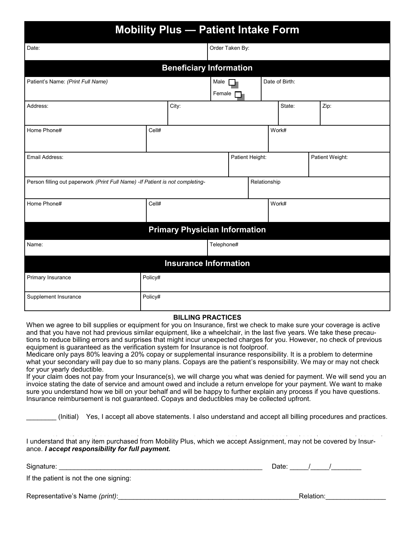| <b>Mobility Plus - Patient Intake Form</b>                                     |         |                                      |                                    |                 |              |       |                |  |      |
|--------------------------------------------------------------------------------|---------|--------------------------------------|------------------------------------|-----------------|--------------|-------|----------------|--|------|
| Date:                                                                          |         |                                      |                                    | Order Taken By: |              |       |                |  |      |
|                                                                                |         | <b>Beneficiary Information</b>       |                                    |                 |              |       |                |  |      |
| Patient's Name: (Print Full Name)                                              |         |                                      | Male<br>Female                     |                 |              |       | Date of Birth: |  |      |
| Address:                                                                       |         | City:                                |                                    |                 |              |       | State:         |  | Zip: |
| Home Phone#                                                                    | Cell#   |                                      |                                    |                 |              | Work# |                |  |      |
| Email Address:                                                                 |         |                                      | Patient Height:<br>Patient Weight: |                 |              |       |                |  |      |
| Person filling out paperwork (Print Full Name) - If Patient is not completing- |         |                                      |                                    |                 | Relationship |       |                |  |      |
| Home Phone#                                                                    | Cell#   |                                      |                                    | Work#           |              |       |                |  |      |
|                                                                                |         | <b>Primary Physician Information</b> |                                    |                 |              |       |                |  |      |
| Name:                                                                          |         |                                      | Telephone#                         |                 |              |       |                |  |      |
|                                                                                |         | <b>Insurance Information</b>         |                                    |                 |              |       |                |  |      |
| Primary Insurance                                                              | Policy# |                                      |                                    |                 |              |       |                |  |      |
| Supplement Insurance                                                           | Policy# |                                      |                                    |                 |              |       |                |  |      |

#### **BILLING PRACTICES BILLING PRACTICES**

When we agree to bill supplies or equipment for you on Insurance, first we check to make sure your coverage is active and that you have not had previous similar equipment, like a wheelchair, in the last five years. We take these precautions to reduce billing errors and surprises that might incur unexpected charges for you. However, no check of previous unexpected charges for you. However, no check of previous equipment is guaranteed as Medicare's verification system and surprises that might incur unexpected charges for you. Medicare is billed and pays 80% and will send to your sup-equipment is guaranteed as the verification system for Insurance is not foolproof.

Medicare only pays 80% leaving a 20% copay or supplemental insurance responsibility. It is a problem to determine what your secondary will pay due to so many plans. Copays are the patient's responsibility. We may or may not check for your yearly deductible.

if your claim does not pay nonflyour filsurance(s), we will charge you what was defiled for payment. We will send you an<br>invoice stating the date of service and amount owed and include a return envelope for your payment. W firvoice stating the date of service and amount owed and include a return envelope for your payment. We want to make sure you understand how we bill on your behalf and will be happy to further explain any process if you have questions. produce reimbursement is not guaranteed. Copays and deductibles may ic, your claim does not pay from your Insurance(s), we will charge you what was denied for payment. We will send you an i eare you and creating new we say your senant and will be nappy to rannor explain any proceed.<br>Insurance reimbursement is not guaranteed. Copays and deductibles may be collected upfront.

\_\_\_\_\_\_\_\_ (Initial) Yes, I accept all above statements. I also understand and accept all billing procedures and practices. \_\_\_\_ Yes, I accept all above statements. I also understand and accept all billing procedures and \_\_\_\_\_\_\_\_ (Initial) Yes, I accept all above statements. I also understand and accept all billing procedures and practices.

I understand that any item purchased from Mobility Plus, which we accept Assignment, may not be covered by Insurance. *I accept responsibility for full payment.* 

| Signature: | Jate: |  |
|------------|-------|--|
|            |       |  |

If the patient is not the one signing: I understand that any item purchased from Freeland Brown Pharmacy, which we accept Assignment, may not be

Signature's Name *(print)*:\_\_\_\_\_\_\_\_\_\_\_\_\_\_\_\_\_\_\_\_\_\_\_\_\_\_\_\_\_\_\_\_\_\_\_\_\_\_\_\_\_\_\_\_\_\_\_\_\_Relation:\_\_\_\_\_\_\_\_\_\_\_\_\_\_\_\_ Signature: \_\_\_\_\_\_\_\_\_\_\_\_\_\_\_\_\_\_\_\_\_\_\_\_\_\_\_\_\_\_\_\_\_\_\_\_\_\_\_\_\_\_\_\_\_\_\_\_\_\_\_\_\_\_ Date: \_\_\_\_\_/\_\_\_\_\_/\_\_\_\_\_\_\_\_ Representative's Name *(print)*:\_\_\_\_\_\_\_\_\_\_\_\_\_\_\_\_\_\_\_\_\_\_\_\_\_\_\_\_\_\_\_\_\_\_\_\_\_\_\_\_\_\_\_\_\_\_\_\_Relation:\_\_\_\_\_\_\_\_\_\_\_\_\_\_\_\_

| Relation |
|----------|
|          |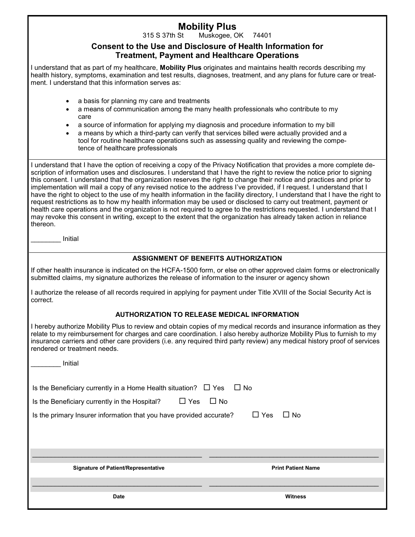# **Mobility Plus**<br>315 S 37th Start Muskogee, C

Muskogee, OK 74401

#### **Consent to the Use and Disclosure of Health Information for Treatment, Payment and Healthcare Operations**

I understand that as part of my healthcare, **Mobility Plus** originates and maintains health records describing my health history, symptoms, examination and test results, diagnoses, treatment, and any plans for future care or treatment. I understand that this information serves as:

- a basis for planning my care and treatments
- a means of communication among the many health professionals who contribute to my care
- a source of information for applying my diagnosis and procedure information to my bill
- a means by which a third-party can verify that services billed were actually provided and a tool for routine healthcare operations such as assessing quality and reviewing the competence of healthcare professionals

I understand that I have the option of receiving a copy of the Privacy Notification that provides a more complete description of information uses and disclosures. I understand that I have the right to review the notice prior to signing this consent. I understand that the organization reserves the right to change their notice and practices and prior to implementation will mail a copy of any revised notice to the address I've provided, if I request. I understand that I have the right to object to the use of my health information in the facility directory, I understand that I have the right to request restrictions as to how my health information may be used or disclosed to carry out treatment, payment or health care operations and the organization is not required to agree to the restrictions requested. I understand that I may revoke this consent in writing, except to the extent that the organization has already taken action in reliance thereon.

\_\_\_\_\_\_\_\_ Initial

#### **ASSIGNMENT OF BENEFITS AUTHORIZATION**

If other health insurance is indicated on the HCFA-1500 form, or else on other approved claim forms or electronically submitted claims, my signature authorizes the release of information to the insurer or agency shown

I authorize the release of all records required in applying for payment under Title XVIII of the Social Security Act is correct.

#### **AUTHORIZATION TO RELEASE MEDICAL INFORMATION**

I hereby authorize Mobility Plus to review and obtain copies of my medical records and insurance information as they relate to my reimbursement for charges and care coordination. I also hereby authorize Mobility Plus to furnish to my insurance carriers and other care providers (i.e. any required third party review) any medical history proof of services rendered or treatment needs.

| Initial                                                                                                                                                                                                                                                     |                           |  |  |  |
|-------------------------------------------------------------------------------------------------------------------------------------------------------------------------------------------------------------------------------------------------------------|---------------------------|--|--|--|
| $\Box$ No<br>Is the Beneficiary currently in a Home Health situation? $\Box$ Yes<br>Is the Beneficiary currently in the Hospital? $\Box$ Yes<br>$\Box$ No<br>$\Box$ Yes<br>$\Box$ No<br>Is the primary Insurer information that you have provided accurate? |                           |  |  |  |
| <b>Signature of Patient/Representative</b>                                                                                                                                                                                                                  | <b>Print Patient Name</b> |  |  |  |
| <b>Date</b>                                                                                                                                                                                                                                                 | <b>Witness</b>            |  |  |  |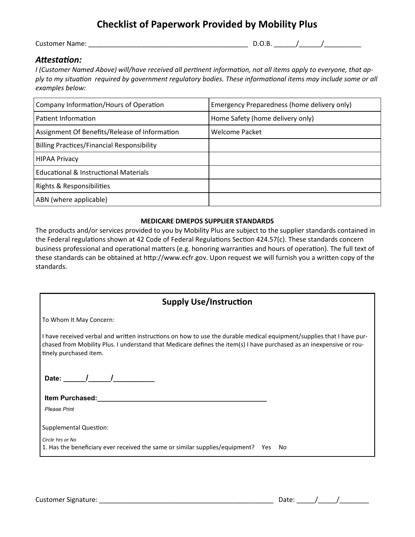# **Checklist of Paperwork Provided by Mobility Plus**

Customer Name: \_\_\_\_\_\_\_\_\_\_\_\_\_\_\_\_\_\_\_\_\_\_\_\_\_\_\_\_\_\_\_\_\_\_\_\_\_\_\_\_\_\_\_ D.O.B. \_\_\_\_\_\_/\_\_\_\_\_\_/\_\_\_\_\_\_\_\_\_\_

### *Attestation:*

*I (Customer Named Above) will/have received all pertinent information, not all items apply to everyone, that apply to my situation required by government regulatory bodies. These informational items may include some or all examples below:*

| Company Information/Hours of Operation            | Emergency Preparedness (home delivery only) |
|---------------------------------------------------|---------------------------------------------|
| Patient Information                               | Home Safety (home delivery only)            |
| Assignment Of Benefits/Release of Information     | Welcome Packet                              |
| <b>Billing Practices/Financial Responsibility</b> |                                             |
| <b>HIPAA Privacy</b>                              |                                             |
| <b>Educational &amp; Instructional Materials</b>  |                                             |
| Rights & Responsibilities                         |                                             |
| ABN (where applicable)                            |                                             |

#### **MEDICARE DMEPOS SUPPLIER STANDARDS**

The products and/or services provided to you by Mobility Plus are subject to the supplier standards contained in the Federal regulations shown at 42 Code of Federal Regulations Section 424.57(c). These standards concern business professional and operational matters (e.g. honoring warranties and hours of operation). The full text of these standards can be obtained at http://www.ecfr.gov. Upon request we will furnish you a written copy of the standards.

| <b>Supply Use/Instruction</b>                                                                                                                                                                                                                                           |  |  |  |  |
|-------------------------------------------------------------------------------------------------------------------------------------------------------------------------------------------------------------------------------------------------------------------------|--|--|--|--|
| To Whom It May Concern:                                                                                                                                                                                                                                                 |  |  |  |  |
| I have received verbal and written instructions on how to use the durable medical equipment/supplies that I have pur-<br>chased from Mobility Plus. I understand that Medicare defines the item(s) I have purchased as an inexpensive or rou-<br>tinely purchased item. |  |  |  |  |
| Date: $\sqrt{1-\frac{1}{2}}$                                                                                                                                                                                                                                            |  |  |  |  |
| Item Purchased:<br><b>Please Print</b>                                                                                                                                                                                                                                  |  |  |  |  |
| <b>Supplemental Question:</b><br>Circle Yes or No<br>1. Has the beneficiary ever received the same or similar supplies/equipment? Yes<br>No.                                                                                                                            |  |  |  |  |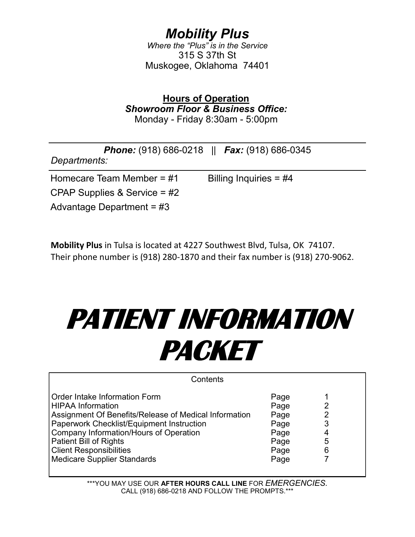# *Mobility Plus*

*Where the "Plus" is in the Service* 315 S 37th St Muskogee, Oklahoma 74401

**Hours of Operation** *Showroom Floor & Business Office:* Monday - Friday 8:30am - 5:00pm

| Departments:                   | <b>Phone:</b> (918) 686-0218 $  $ <b>Fax:</b> (918) 686-0345 |
|--------------------------------|--------------------------------------------------------------|
| Homecare Team Member = $#1$    | Billing Inquiries = $\#4$                                    |
| CPAP Supplies & Service = $#2$ |                                                              |
| Advantage Department = $\#3$   |                                                              |

**Mobility Plus** in Tulsa is located at 4227 Southwest Blvd, Tulsa, OK 74107. Their phone number is (918) 280-1870 and their fax number is (918) 270-9062.

# **PATIENT INFORMATION PACKET**

| Contents                                                                                                                                                                                                                                                                                                                  |                                                              |                                         |  |  |
|---------------------------------------------------------------------------------------------------------------------------------------------------------------------------------------------------------------------------------------------------------------------------------------------------------------------------|--------------------------------------------------------------|-----------------------------------------|--|--|
| Order Intake Information Form<br><b>HIPAA Information</b><br>Assignment Of Benefits/Release of Medical Information<br>Paperwork Checklist/Equipment Instruction<br><b>Company Information/Hours of Operation</b><br><b>Patient Bill of Rights</b><br><b>Client Responsibilities</b><br><b>Medicare Supplier Standards</b> | Page<br>Page<br>Page<br>Page<br>Page<br>Page<br>Page<br>Page | 2<br>$\overline{2}$<br>3<br>4<br>5<br>6 |  |  |

\*\*\*YOU MAY USE OUR **AFTER HOURS CALL LINE** FOR *EMERGENCIES.* CALL (918) 686-0218 AND FOLLOW THE PROMPTS.\*\*\*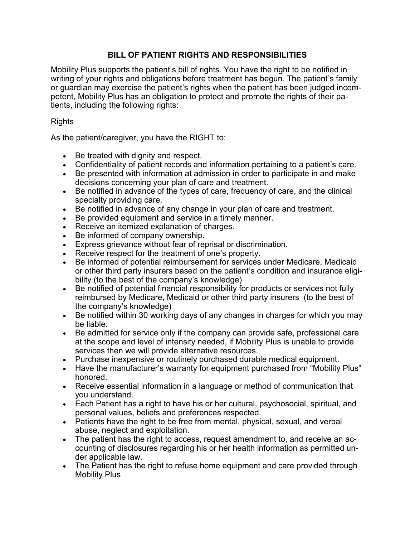## **BILL OF PATIENT RIGHTS AND RESPONSIBILITIES**

Mobility Plus supports the patient's bill of rights. You have the right to be notified in writing of your rights and obligations before treatment has begun. The patient's family or guardian may exercise the patient's rights when the patient has been judged incompetent, Mobility Plus has an obligation to protect and promote the rights of their patients, including the following rights:

Rights

As the patient/caregiver, you have the RIGHT to:

- Be treated with dignity and respect.
- Confidentiality of patient records and information pertaining to a patient's care.
- Be presented with information at admission in order to participate in and make decisions concerning your plan of care and treatment.
- Be notified in advance of the types of care, frequency of care, and the clinical specialty providing care.
- Be notified in advance of any change in your plan of care and treatment.
- Be provided equipment and service in a timely manner.
- Receive an itemized explanation of charges.
- Be informed of company ownership.
- Express grievance without fear of reprisal or discrimination.
- Receive respect for the treatment of one's property.
- Be informed of potential reimbursement for services under Medicare, Medicaid or other third party insurers based on the patient's condition and insurance eligibility (to the best of the company's knowledge)
- Be notified of potential financial responsibility for products or services not fully reimbursed by Medicare, Medicaid or other third party insurers (to the best of the company's knowledge)
- Be notified within 30 working days of any changes in charges for which you may be liable.
- Be admitted for service only if the company can provide safe, professional care at the scope and level of intensity needed, if Mobility Plus is unable to provide services then we will provide alternative resources.
- Purchase inexpensive or routinely purchased durable medical equipment.
- Have the manufacturer's warranty for equipment purchased from "Mobility Plus" honored.
- Receive essential information in a language or method of communication that you understand.
- Each Patient has a right to have his or her cultural, psychosocial, spiritual, and personal values, beliefs and preferences respected.
- Patients have the right to be free from mental, physical, sexual, and verbal abuse, neglect and exploitation.
- The patient has the right to access, request amendment to, and receive an accounting of disclosures regarding his or her health information as permitted under applicable law.
- The Patient has the right to refuse home equipment and care provided through Mobility Plus